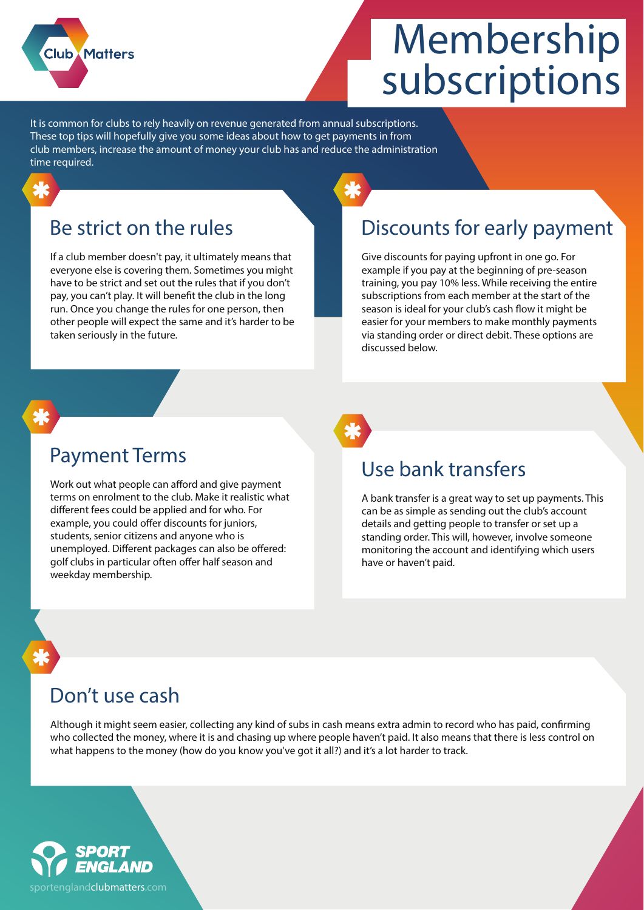

# **Membership subscriptions**

It is common for clubs to rely heavily on revenue generated from annual subscriptions. These top tips will hopefully give you some ideas about how to get payments in from club members, increase the amount of money your club has and reduce the administration time required.

#### Be strict on the rules

If a club member doesn't pay, it ultimately means that everyone else is covering them. Sometimes you might have to be strict and set out the rules that if you don't pay, you can't play. It will benefit the club in the long run. Once you change the rules for one person, then other people will expect the same and it's harder to be taken seriously in the future.

### Discounts for early payment

Give discounts for paying upfront in one go. For example if you pay at the beginning of pre-season training, you pay 10% less. While receiving the entire subscriptions from each member at the start of the season is ideal for your club's cash flow it might be easier for your members to make monthly payments via standing order or direct debit. These options are discussed below.

#### Payment Terms

Work out what people can afford and give payment terms on enrolment to the club. Make it realistic what different fees could be applied and for who. For example, you could offer discounts for juniors, students, senior citizens and anyone who is unemployed. Different packages can also be offered: golf clubs in particular often offer half season and weekday membership.

#### Use bank transfers

A bank transfer is a great way to set up payments. This can be as simple as sending out the club's account details and getting people to transfer or set up a standing order. This will, however, involve someone monitoring the account and identifying which users have or haven't paid.

### Don't use cash

Although it might seem easier, collecting any kind of subs in cash means extra admin to record who has paid, confirming who collected the money, where it is and chasing up where people haven't paid. It also means that there is less control on what happens to the money (how do you know you've got it all?) and it's a lot harder to track.